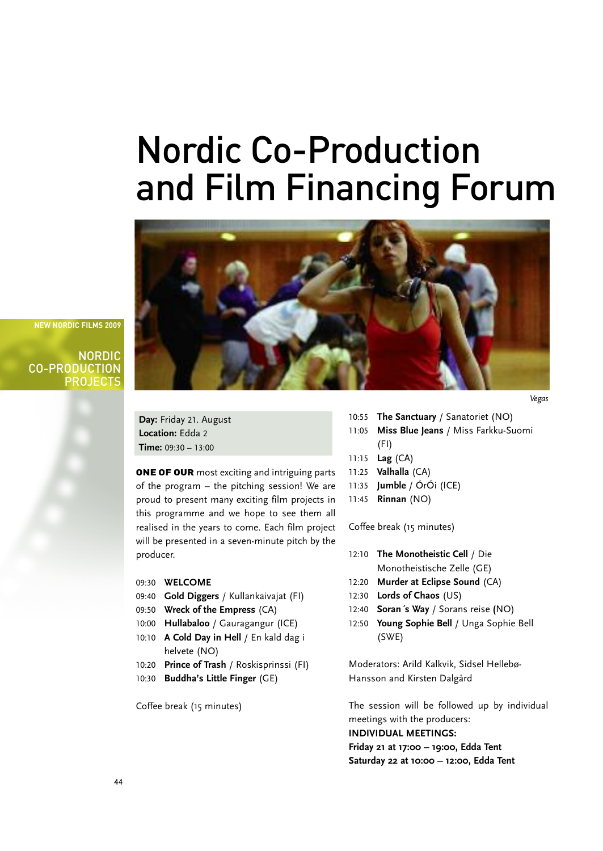### Nordic Co-Production and Film Financing Forum



**NEW NORDIC FILMS 2009**

NORDIC CO-PRODUCTION **PROJECTS** 

> **Day:** Friday 21. August **Location:** Edda 2 **Time:** 09:30 – 13:00

**ONE OF OUR** most exciting and intriguing parts of the program – the pitching session! We are proud to present many exciting film projects in this programme and we hope to see them all realised in the years to come. Each film project will be presented in a seven-minute pitch by the producer.

#### 09:30 **WELCOME**

- 09:40 **Gold Diggers** / Kullankaivajat (FI)
- 09:50 **Wreck of the Empress** (CA)
- 10:00 **Hullabaloo** / Gauragangur (ICE)
- 10:10 **A Cold Day in Hell** / En kald dag i helvete (NO)
- 10:20 **Prince of Trash** / Roskisprinssi (FI)
- 10:30 **Buddha's Little Finger** (GE)

Coffee break (15 minutes)

- 10:55 **The Sanctuary** / Sanatoriet (NO)
- 11:05 **Miss Blue Jeans** / Miss Farkku-Suomi (FI)
- 11:15 **Lag** (CA)
- 11:25 **Valhalla** (CA)
- 11:35 **Jumble** / ÓrÓi (ICE)
- 11:45 **Rinnan** (NO)

Coffee break (15 minutes)

- 12:10 **The Monotheistic Cell** / Die Monotheistische Zelle (GE)
- 12:20 **Murder at Eclipse Sound** (CA)
- 12:30 **Lords of Chaos** (US)
- 12:40 **Soran´s Way** / Sorans reise **(**NO)
- 12:50 **Young Sophie Bell** / Unga Sophie Bell (SWE)

Moderators: Arild Kalkvik, Sidsel Hellebø-Hansson and Kirsten Dalgård

The session will be followed up by individual meetings with the producers:

#### **INDIVIDUAL MEETINGS:**

**Friday 21 at 17:00 – 19:00, Edda Tent Saturday 22 at 10:00 – 12:00, Edda Tent**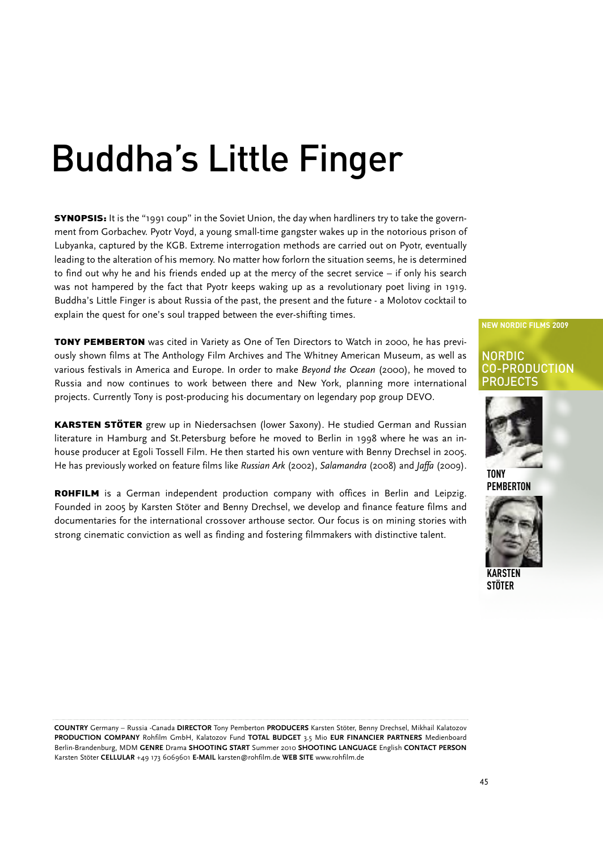## Buddha ' s Little Finger

SYNOPSIS: It is the "1991 coup" in the Soviet Union, the day when hardliners try to take the government from Gorbachev. Pyotr Voyd, a young small-time gangster wakes up in the notorious prison of Lubyanka, captured by the KGB. Extreme interrogation methods are carried out on Pyotr, eventually leading to the alteration of his memory. No matter how forlorn the situation seems, he is determined to find out why he and his friends ended up at the mercy of the secret service – if only his search was not hampered by the fact that Pyotr keeps waking up as a revolutionary poet living in 1919. Buddha's Little Finger is about Russia of the past, the present and the future - a Molotov cocktail to explain the quest for one's soul trapped between the ever-shifting times.

TONY PEMBERTON was cited in Variety as One of Ten Directors to Watch in 2000, he has previously shown films at The Anthology Film Archives and The Whitney American Museum, as well as various festivals in America and Europe. In order to make *Beyond the Ocean* (2000), he moved to Russia and now continues to work between there and New York, planning more international projects. Currently Tony is post-producing his documentary on legendary pop group DEVO.

KARSTEN STÖTER grew up in Niedersachsen (lower Saxony). He studied German and Russian literature in Hamburg and St.Petersburg before he moved to Berlin in 1998 where he was an inhouse producer at Egoli Tossell Film. He then started his own venture with Benny Drechsel in 2005. He has previously worked on feature films like *Russian Ark* (2002), *Salamandra* (2008) and *Jaffa* (2009).

ROHFILM is a German independent production company with offices in Berlin and Leipzig. Founded in 2005 by Karsten Stöter and Benny Drechsel, we develop and finance feature films and documentaries for the international crossover arthouse sector. Our focus is on mining stories with strong cinematic conviction as well as finding and fostering filmmakers with distinctive talent.

**NEW NORDIC FILMS 2009**

### NORDIC CO-PRODUCTION **PROJECTS**



**TONY PEMBERTON**



**STÖTER**

**COUNTRY** Germany – Russia -Canada **DIRECTOR** Tony Pemberton **PRODUCERS** Karsten Stöter, Benny Drechsel, Mikhail Kalatozov **PRODUCTION COMPANY** Rohfilm GmbH, Kalatozov Fund **TOTAL BUDGET** 3.5 Mio **EUR FINANCIER PARTNERS** Medienboard Berlin-Brandenburg, MDM **GENRE** Drama **SHOOTING START** Summer 2010 **SHOOTING LANGUAGE** English **CONTACT PERSON** Karsten Stöter **CELLULAR** +49 173 6069601 **E-MAIL** karsten@rohfilm.de **WEB SITE** www.rohfilm.de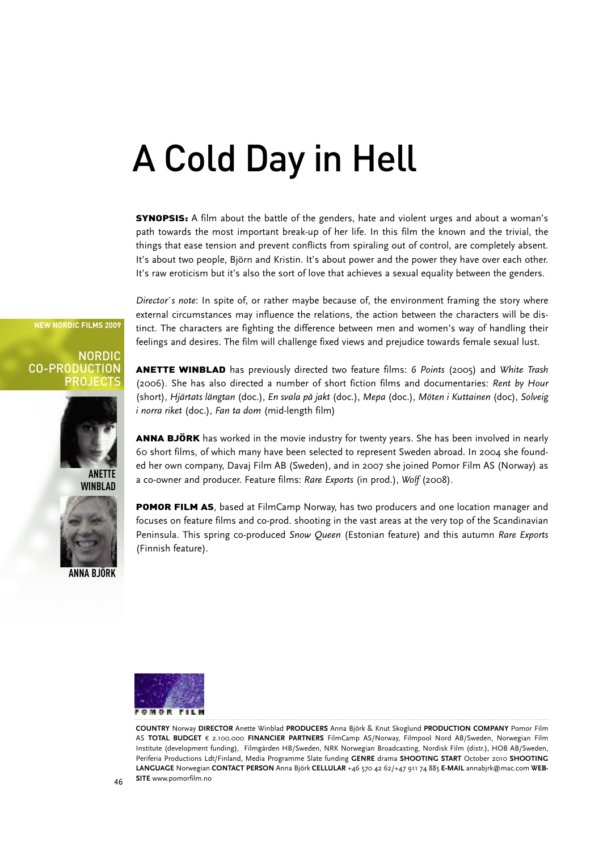### A Cold Day in Hell

SYNOPSIS: A film about the battle of the genders, hate and violent urges and about a woman's path towards the most important break-up of her life. In this film the known and the trivial, the things that ease tension and prevent conflicts from spiraling out of control, are completely absent. It's about two people, Björn and Kristin. It's about power and the power they have over each other. It's raw eroticism but it's also the sort of love that achieves a sexual equality between the genders.

*Director´s note*: In spite of, or rather maybe because of, the environment framing the story where external circumstances may influence the relations, the action between the characters will be distinct. The characters are fighting the difference between men and women's way of handling their feelings and desires. The film will challenge fixed views and prejudice towards female sexual lust.

**NEW NORDIC FILMS 2009**

#### NORDIC CO-PRODUCTION **PROJECT**





**ANNA BJÖRK**

ANETTE WINBLAD has previously directed two feature films: *6 Points* (2005) and *White Trash* (2006). She has also directed a number of short fiction films and documentaries: *Rent by Hour* (short), *Hjärtats längtan* (doc.), *En svala på jakt* (doc.), *Mepa* (doc.), *Möten i Kuttainen* (doc), *Solveig i norra riket* (doc.), *Fan ta dom* (mid-length film)

ANNA BJÖRK has worked in the movie industry for twenty years. She has been involved in nearly 60 short films, of which many have been selected to represent Sweden abroad. In 2004 she founded her own company, Davaj Film AB (Sweden), and in 2007 she joined Pomor Film AS (Norway) as a co-owner and producer. Feature films: *Rare Exports* (in prod.), *Wolf* (2008).

**POMOR FILM AS**, based at FilmCamp Norway, has two producers and one location manager and focuses on feature films and co-prod. shooting in the vast areas at the very top of the Scandinavian Peninsula. This spring co-produced *Snow Queen* (Estonian feature) and this autumn *Rare Exports* (Finnish feature).



**COUNTRY** Norway **DIRECTOR** Anette Winblad **PRODUCERS** Anna Björk & Knut Skoglund **PRODUCTION COMPANY** Pomor Film AS **TOTAL BUDGET** € 2.100.000 **FINANCIER PARTNERS** FilmCamp AS/Norway, Filmpool Nord AB/Sweden, Norwegian Film Institute (development funding), Filmgården HB/Sweden, NRK Norwegian Broadcasting, Nordisk Film (distr.), HOB AB/Sweden, Periferia Productions Ldt/Finland, Media Programme Slate funding **GENRE** drama **SHOOTING START** October 2010 **SHOOTING LANGUAGE** Norwegian **CONTACT PERSON** Anna Björk **CELLULAR** +46 570 42 62/+47 911 74 885 **E-MAIL** annabjrk@mac.com **WEB-SITE** www.pomorfilm.no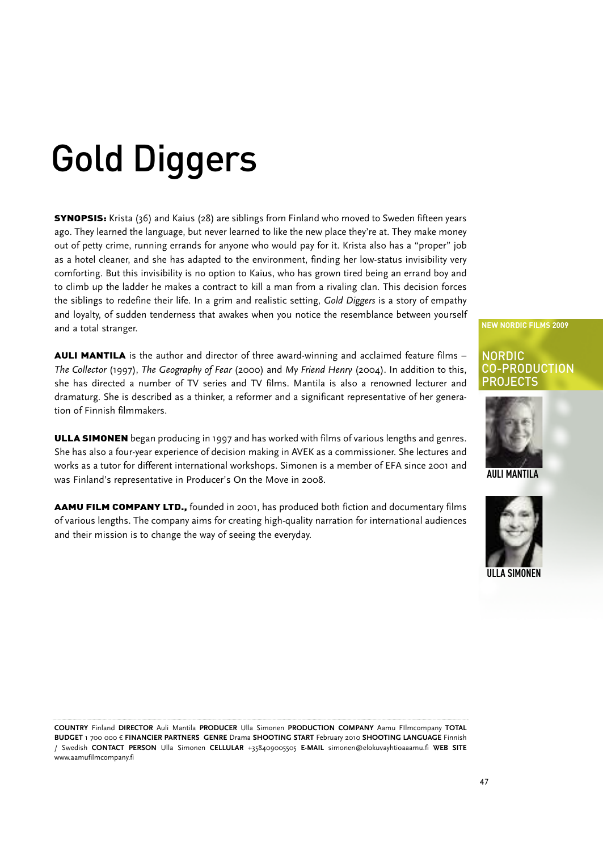# Gold Diggers

SYNOPSIS: Krista (36) and Kaius (28) are siblings from Finland who moved to Sweden fifteen years ago. They learned the language, but never learned to like the new place they're at. They make money out of petty crime, running errands for anyone who would pay for it. Krista also has a "proper" job as a hotel cleaner, and she has adapted to the environment, finding her low-status invisibility very comforting. But this invisibility is no option to Kaius, who has grown tired being an errand boy and to climb up the ladder he makes a contract to kill a man from a rivaling clan. This decision forces the siblings to redefine their life. In a grim and realistic setting, *Gold Diggers* is a story of empathy and loyalty, of sudden tenderness that awakes when you notice the resemblance between yourself and a total stranger.

AULI MANTILA is the author and director of three award-winning and acclaimed feature films -*The Collector* (1997), *The Geography of Fear* (2000) and *My Friend Henry* (2004). In addition to this, she has directed a number of TV series and TV films. Mantila is also a renowned lecturer and dramaturg. She is described as a thinker, a reformer and a significant representative of her generation of Finnish filmmakers.

**ULLA SIMONEN** began producing in 1997 and has worked with films of various lengths and genres. She has also a four-year experience of decision making in AVEK as a commissioner. She lectures and works as a tutor for different international workshops. Simonen is a member of EFA since 2001 and was Finland's representative in Producer's On the Move in 2008.

AAMU FILM COMPANY LTD., founded in 2001, has produced both fiction and documentary films of various lengths. The company aims for creating high-quality narration for international audiences and their mission is to change the way of seeing the everyday.

**NEW NORDIC FILMS 2009**

### NORDIC CO-PRODUCTION **PROJECTS**







**COUNTRY** Finland **DIRECTOR** Auli Mantila **PRODUCER** Ulla Simonen **PRODUCTION COMPANY** Aamu FIlmcompany **TOTAL BUDGET** 1 700 000 € **FINANCIER PARTNERS GENRE** Drama **SHOOTING START** February 2010 **SHOOTING LANGUAGE** Finnish / Swedish **CONTACT PERSON** Ulla Simonen **CELLULAR** +358409005505 **E-MAIL** simonen@elokuvayhtioaaamu.fi **WEB SITE** www.aamufilmcompany.fi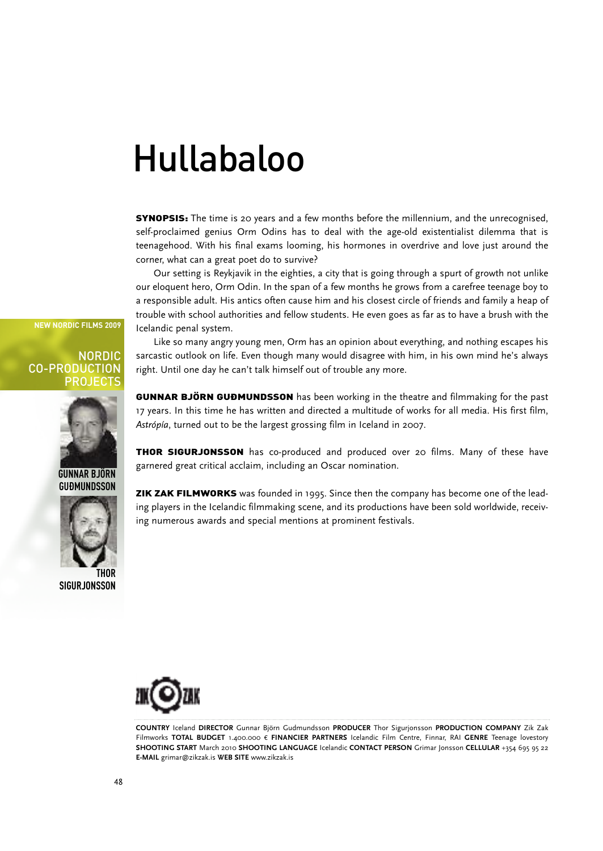### Hullabaloo

**SYNOPSIS:** The time is 20 years and a few months before the millennium, and the unrecognised, self-proclaimed genius Orm Odins has to deal with the age-old existentialist dilemma that is teenagehood. With his final exams looming, his hormones in overdrive and love just around the corner, what can a great poet do to survive?

Our setting is Reykjavik in the eighties, a city that is going through a spurt of growth not unlike our eloquent hero, Orm Odin. In the span of a few months he grows from a carefree teenage boy to a responsible adult. His antics often cause him and his closest circle of friends and family a heap of trouble with school authorities and fellow students. He even goes as far as to have a brush with the Icelandic penal system.

**NEW NORDIC FILMS 2009**

### NORDIC CO-PRODUCTION PROJECTS



**GUNNAR BJÖRN GUÐMUNDSSON**



**SIGURJONSSON**

Like so many angry young men, Orm has an opinion about everything, and nothing escapes his sarcastic outlook on life. Even though many would disagree with him, in his own mind he's always right. Until one day he can't talk himself out of trouble any more.

**GUNNAR BJÖRN GUÐMUNDSSON** has been working in the theatre and filmmaking for the past 17 years. In this time he has written and directed a multitude of works for all media. His first film, *Astrópía*, turned out to be the largest grossing film in Iceland in 2007.

THOR SIGURJONSSON has co-produced and produced over 20 films. Many of these have garnered great critical acclaim, including an Oscar nomination.

**ZIK ZAK FILMWORKS** was founded in 1995. Since then the company has become one of the leading players in the Icelandic filmmaking scene, and its productions have been sold worldwide, receiving numerous awards and special mentions at prominent festivals.



**COUNTRY** Iceland **DIRECTOR** Gunnar Björn Gudmundsson **PRODUCER** Thor Sigurjonsson **PRODUCTION COMPANY** Zik Zak Filmworks **TOTAL BUDGET** 1.400.000 € **FINANCIER PARTNERS** Icelandic Film Centre, Finnar, RAI **GENRE** Teenage lovestory **SHOOTING START** March 2010 **SHOOTING LANGUAGE** Icelandic **CONTACT PERSON** Grimar Jonsson **CELLULAR** +354 695 95 22 **E-MAIL** grimar@zikzak.is **WEB SITE** www.zikzak.is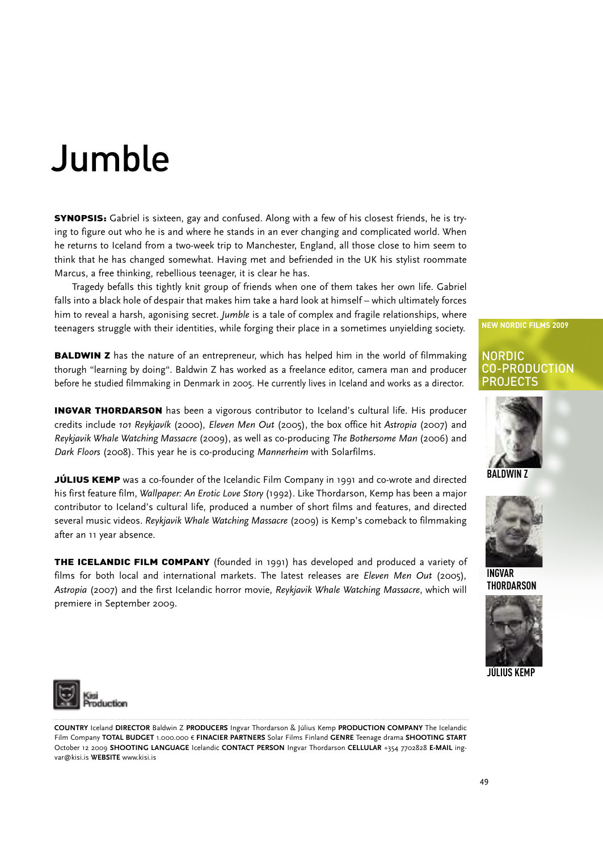## Jumble

SYNOPSIS: Gabriel is sixteen, gay and confused. Along with a few of his closest friends, he is trying to figure out who he is and where he stands in an ever changing and complicated world. When he returns to Iceland from a two-week trip to Manchester, England, all those close to him seem to think that he has changed somewhat. Having met and befriended in the UK his stylist roommate Marcus, a free thinking, rebellious teenager, it is clear he has.

Tragedy befalls this tightly knit group of friends when one of them takes her own life. Gabriel falls into a black hole of despair that makes him take a hard look at himself – which ultimately forces him to reveal a harsh, agonising secret. *Jumble* is a tale of complex and fragile relationships, where teenagers struggle with their identities, while forging their place in a sometimes unyielding society.

**BALDWIN Z** has the nature of an entrepreneur, which has helped him in the world of filmmaking thorugh "learning by doing". Baldwin Z has worked as a freelance editor, camera man and producer before he studied filmmaking in Denmark in 2005. He currently lives in Iceland and works as a director.

**INGVAR THORDARSON** has been a vigorous contributor to Iceland's cultural life. His producer credits include *101 Reykjavík* (2000)*, Eleven Men Out* (2005), the box office hit *Astropia* (2007) and *Reykjavik Whale Watching Massacre* (2009), as well as co-producing *The Bothersome Man* (2006) and *Dark Floors* (2008). This year he is co-producing *Mannerheim* with Solarfilms.

JULIUS KEMP was a co-founder of the Icelandic Film Company in 1991 and co-wrote and directed his first feature film, *Wallpaper: An Erotic Love Story* (1992). Like Thordarson, Kemp has been a major contributor to Iceland's cultural life, produced a number of short films and features, and directed several music videos. *Reykjavik Whale Watching Massacre* (2009) is Kemp's comeback to filmmaking after an 11 year absence.

**THE ICELANDIC FILM COMPANY** (founded in 1991) has developed and produced a variety of films for both local and international markets. The latest releases are *Eleven Men Out* (2005)*, Astropia* (2007) and the first Icelandic horror movie, *Reykjavik Whale Watching Massacre*, which will premiere in September 2009.



NORDIC

CO-PRODUCTION PROJECTS

**NEW NORDIC FILMS 2009**





**INGVAR THORDARSON**



**JÚLIUS KEMP**



**COUNTRY** Iceland **DIRECTOR** Baldwin Z **PRODUCERS** Ingvar Thordarson & Július Kemp **PRODUCTION COMPANY** The Icelandic Film Company **TOTAL BUDGET** 1.000.000 € **FINACIER PARTNERS** Solar Films Finland **GENRE** Teenage drama **SHOOTING START** October 12 2009 **SHOOTING LANGUAGE** Icelandic **CONTACT PERSON** Ingvar Thordarson **CELLULAR** +354 7702828 **E-MAIL** ingvar@kisi.is **WEBSITE** www.kisi.is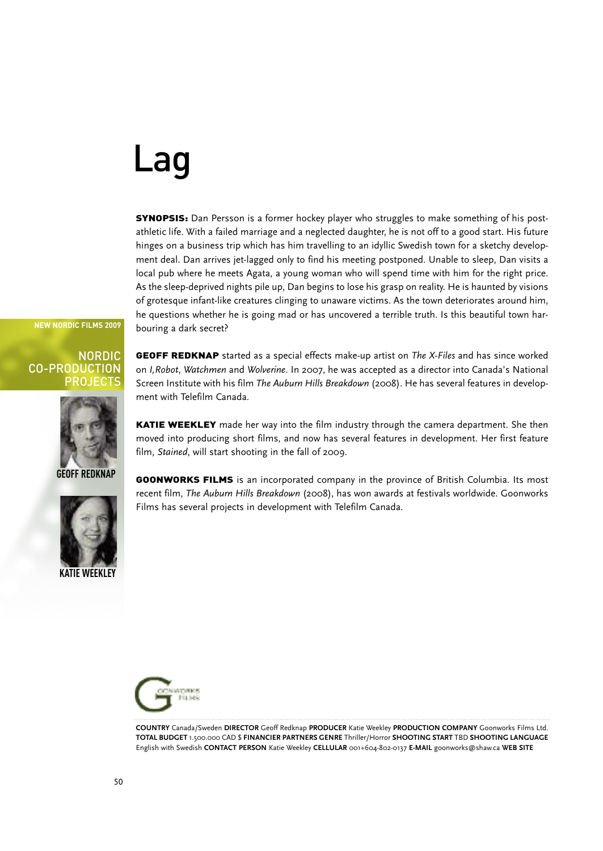## Lag

**SYNOPSIS:** Dan Persson is a former hockey player who struggles to make something of his postathletic life. With a failed marriage and a neglected daughter, he is not off to a good start. His future hinges on a business trip which has him travelling to an idyllic Swedish town for a sketchy development deal. Dan arrives jet-lagged only to find his meeting postponed. Unable to sleep, Dan visits a local pub where he meets Agata, a young woman who will spend time with him for the right price. As the sleep-deprived nights pile up, Dan begins to lose his grasp on reality. He is haunted by visions of grotesque infant-like creatures clinging to unaware victims. As the town deteriorates around him, he questions whether he is going mad or has uncovered a terrible truth. Is this beautiful town harbouring a dark secret?

#### **NEW NORDIC FILMS 2009**

### NORDIC CO-PRODUCTION PROJECTS



on *I,Robot*, *Watchmen* and *Wolverine*. In 2007, he was accepted as a director into Canada's National Screen Institute with his film *The Auburn Hills Breakdown* (2008). He has several features in development with Telefilm Canada.

GEOFF REDKNAP started as a special effects make-up artist on *The X-Files* and has since worked

KATIE WEEKLEY made her way into the film industry through the camera department. She then moved into producing short films, and now has several features in development. Her first feature film, *Stained*, will start shooting in the fall of 2009.



GOONWORKS FILMS is an incorporated company in the province of British Columbia. Its most recent film, *The Auburn Hills Breakdown* (2008), has won awards at festivals worldwide. Goonworks Films has several projects in development with Telefilm Canada.



**COUNTRY** Canada/Sweden **DIRECTOR** Geoff Redknap **PRODUCER** Katie Weekley **PRODUCTION COMPANY** Goonworks Films Ltd. **TOTAL BUDGET** 1.500.000 CAD \$ **FINANCIER PARTNERS GENRE** Thriller/Horror **SHOOTING START** TBD **SHOOTING LANGUAGE** English with Swedish **CONTACT PERSON** Katie Weekley **CELLULAR** 001+604-802-0137 **E-MAIL** goonworks@shaw.ca **WEB SITE**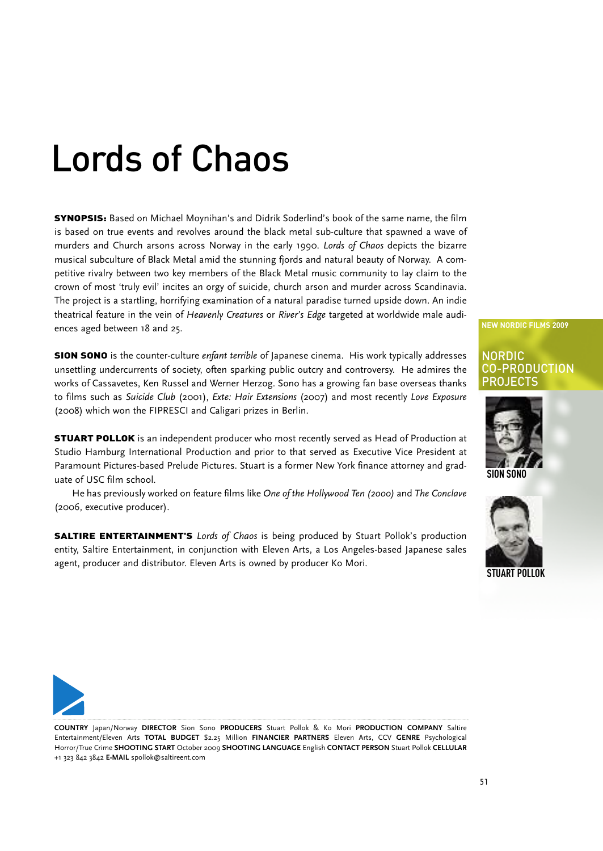# Lords of Chaos

SYNOPSIS: Based on Michael Moynihan's and Didrik Soderlind's book of the same name, the film is based on true events and revolves around the black metal sub-culture that spawned a wave of murders and Church arsons across Norway in the early 1990. *Lords of Chaos* depicts the bizarre musical subculture of Black Metal amid the stunning fjords and natural beauty of Norway. A competitive rivalry between two key members of the Black Metal music community to lay claim to the crown of most 'truly evil' incites an orgy of suicide, church arson and murder across Scandinavia. The project is a startling, horrifying examination of a natural paradise turned upside down. An indie theatrical feature in the vein of *Heavenly Creatures* or *River's Edge* targeted at worldwide male audiences aged between 18 and 25.

SION SONO is the counter-culture *enfant terrible* of Japanese cinema. His work typically addresses unsettling undercurrents of society, often sparking public outcry and controversy. He admires the works of Cassavetes, Ken Russel and Werner Herzog. Sono has a growing fan base overseas thanks to films such as *Suicide Club* (2001), *Exte: Hair Extensions* (2007) and most recently *Love Exposure* (2008) which won the FIPRESCI and Caligari prizes in Berlin.

**STUART POLLOK** is an independent producer who most recently served as Head of Production at Studio Hamburg International Production and prior to that served as Executive Vice President at Paramount Pictures-based Prelude Pictures. Stuart is a former New York finance attorney and graduate of USC film school.

He has previously worked on feature films like *One of the Hollywood Ten (2000)* and *The Conclave* (2006, executive producer).

SALTIRE ENTERTAINMENT'S *Lords of Chaos* is being produced by Stuart Pollok's production entity, Saltire Entertainment, in conjunction with Eleven Arts, a Los Angeles-based Japanese sales agent, producer and distributor. Eleven Arts is owned by producer Ko Mori.

**NEW NORDIC FILMS 2009**

### NORDIC CO-PRODUCTION **PROJECTS**







**COUNTRY** Japan/Norway **DIRECTOR** Sion Sono **PRODUCERS** Stuart Pollok & Ko Mori **PRODUCTION COMPANY** Saltire Entertainment/Eleven Arts **TOTAL BUDGET** \$2.25 Million **FINANCIER PARTNERS** Eleven Arts, CCV **GENRE** Psychological Horror/True Crime **SHOOTING START** October 2009 **SHOOTING LANGUAGE** English **CONTACT PERSON** Stuart Pollok **CELLULAR** +1 323 842 3842 **E-MAIL** spollok@saltireent.com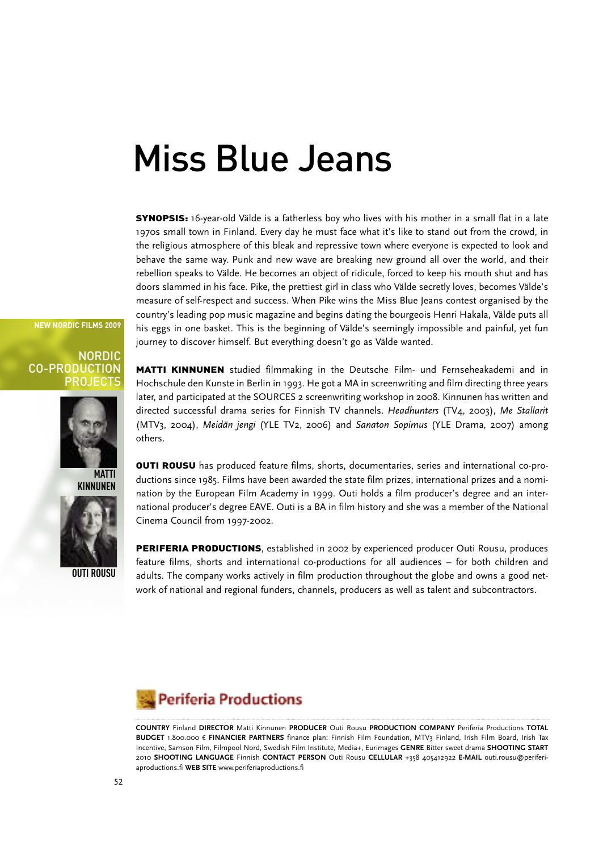### Miss Blue Jeans

SYNOPSIS: 16-year-old Välde is a fatherless boy who lives with his mother in a small flat in a late 1970s small town in Finland. Every day he must face what it's like to stand out from the crowd, in the religious atmosphere of this bleak and repressive town where everyone is expected to look and behave the same way. Punk and new wave are breaking new ground all over the world, and their rebellion speaks to Välde. He becomes an object of ridicule, forced to keep his mouth shut and has doors slammed in his face. Pike, the prettiest girl in class who Välde secretly loves, becomes Välde's measure of self-respect and success. When Pike wins the Miss Blue Jeans contest organised by the country's leading pop music magazine and begins dating the bourgeois Henri Hakala, Välde puts all his eggs in one basket. This is the beginning of Välde's seemingly impossible and painful, yet fun journey to discover himself. But everything doesn't go as Välde wanted.

**NEW NORDIC FILMS 2009**

#### NORDIC CO-PRODUCTION PROJECTS



**KINNUNEN**



**OUTI ROUSU**

MATTI KINNUNEN studied filmmaking in the Deutsche Film- und Fernseheakademi and in Hochschule den Kunste in Berlin in 1993. He got a MA in screenwriting and film directing three years later, and participated at the SOURCES 2 screenwriting workshop in 2008. Kinnunen has written and directed successful drama series for Finnish TV channels. *Headhunters* (TV4, 2003), *Me Stallarit* (MTV3, 2004), *Meidän jengi* (YLE TV2, 2006) and *Sanaton Sopimus* (YLE Drama, 2007) among others.

OUTI ROUSU has produced feature films, shorts, documentaries, series and international co-productions since 1985. Films have been awarded the state film prizes, international prizes and a nomination by the European Film Academy in 1999. Outi holds a film producer's degree and an international producer's degree EAVE. Outi is a BA in film history and she was a member of the National Cinema Council from 1997-2002.

PERIFERIA PRODUCTIONS, established in 2002 by experienced producer Outi Rousu, produces feature films, shorts and international co-productions for all audiences – for both children and adults. The company works actively in film production throughout the globe and owns a good network of national and regional funders, channels, producers as well as talent and subcontractors.

### **Periferia Productions**

**COUNTRY** Finland **DIRECTOR** Matti Kinnunen **PRODUCER** Outi Rousu **PRODUCTION COMPANY** Periferia Productions **TOTAL BUDGET** 1.800.000 € **FINANCIER PARTNERS** finance plan: Finnish Film Foundation, MTV3 Finland, Irish Film Board, Irish Tax Incentive, Samson Film, Filmpool Nord, Swedish Film Institute, Media+, Eurimages **GENRE** Bitter sweet drama **SHOOTING START** 2010 **SHOOTING LANGUAGE** Finnish **CONTACT PERSON** Outi Rousu **CELLULAR** +358 405412922 **E-MAIL** outi.rousu@periferiaproductions.fi **WEB SITE** www.periferiaproductions.fi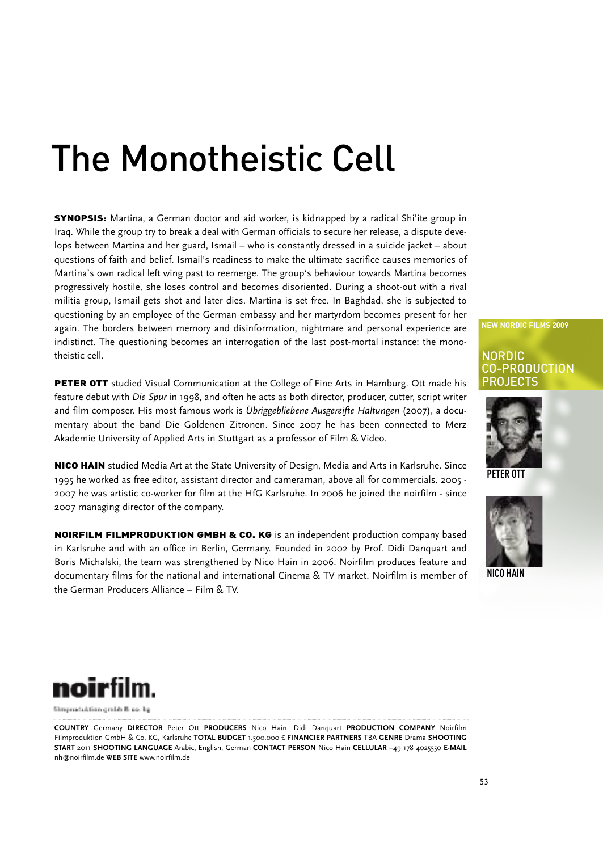### The Monotheistic Cell

**SYNOPSIS:** Martina, a German doctor and aid worker, is kidnapped by a radical Shi'ite group in Iraq. While the group try to break a deal with German officials to secure her release, a dispute develops between Martina and her guard, Ismail – who is constantly dressed in a suicide jacket – about questions of faith and belief. Ismail's readiness to make the ultimate sacrifice causes memories of Martina's own radical left wing past to reemerge. The group's behaviour towards Martina becomes progressively hostile, she loses control and becomes disoriented. During a shoot-out with a rival militia group, Ismail gets shot and later dies. Martina is set free. In Baghdad, she is subjected to questioning by an employee of the German embassy and her martyrdom becomes present for her again. The borders between memory and disinformation, nightmare and personal experience are indistinct. The questioning becomes an interrogation of the last post-mortal instance: the monotheistic cell.

**PETER OTT** studied Visual Communication at the College of Fine Arts in Hamburg. Ott made his feature debut with *Die Spur* in 1998, and often he acts as both director, producer, cutter, script writer and film composer. His most famous work is *Übriggebliebene Ausgereifte Haltungen* (2007), a documentary about the band Die Goldenen Zitronen. Since 2007 he has been connected to Merz Akademie University of Applied Arts in Stuttgart as a professor of Film & Video.

NICO HAIN studied Media Art at the State University of Design, Media and Arts in Karlsruhe. Since he worked as free editor, assistant director and cameraman, above all for commercials. 2005 - he was artistic co-worker for film at the HfG Karlsruhe. In 2006 he joined the noirfilm - since managing director of the company.

NOIRFILM FILMPRODUKTION GMBH & CO. KG is an independent production company based in Karlsruhe and with an office in Berlin, Germany. Founded in 2002 by Prof. Didi Danquart and Boris Michalski, the team was strengthened by Nico Hain in 2006. Noirfilm produces feature and documentary films for the national and international Cinema & TV market. Noirfilm is member of the German Producers Alliance – Film & TV.

**NEW NORDIC FILMS 2009**

### NORDIC CO-PRODUCTION **PROJECTS**



**PETER OTT**



**NICO HAIN**



Simproduktion grabh B so. bg

**COUNTRY** Germany **DIRECTOR** Peter Ott **PRODUCERS** Nico Hain, Didi Danquart **PRODUCTION COMPANY** Noirfilm Filmproduktion GmbH & Co. KG, Karlsruhe **TOTAL BUDGET** 1.500.000 € **FINANCIER PARTNERS** TBA **GENRE** Drama **SHOOTING START** 2011 **SHOOTING LANGUAGE** Arabic, English, German **CONTACT PERSON** Nico Hain **CELLULAR** +49 178 4025550 **E-MAIL** nh@noirfilm.de **WEB SITE** www.noirfilm.de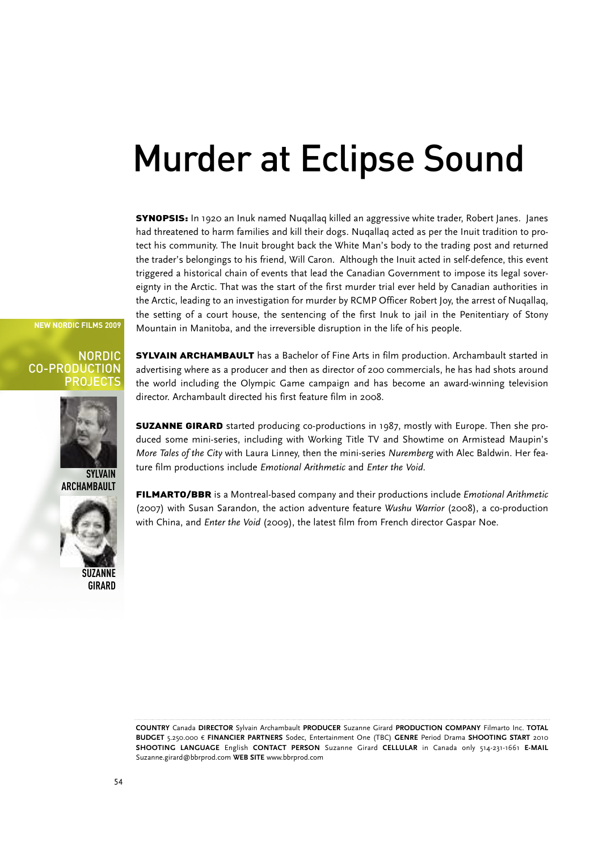### Murder at Eclipse Sound

**SYNOPSIS:** In 1920 an Inuk named Nuqallaq killed an aggressive white trader, Robert Janes. Janes had threatened to harm families and kill their dogs. Nuqallaq acted as per the Inuit tradition to protect his community. The Inuit brought back the White Man's body to the trading post and returned the trader's belongings to his friend, Will Caron. Although the Inuit acted in self-defence, this event triggered a historical chain of events that lead the Canadian Government to impose its legal sovereignty in the Arctic. That was the start of the first murder trial ever held by Canadian authorities in the Arctic, leading to an investigation for murder by RCMP Officer Robert Joy, the arrest of Nuqallaq, the setting of a court house, the sentencing of the first Inuk to jail in the Penitentiary of Stony Mountain in Manitoba, and the irreversible disruption in the life of his people.

**NEW NORDIC FILMS 2009**

### NORDIC CO-PRODUCTION PROJECTS



**ARCHAMBAULT**



**SYLVAIN ARCHAMBAULT** has a Bachelor of Fine Arts in film production. Archambault started in advertising where as a producer and then as director of 200 commercials, he has had shots around the world including the Olympic Game campaign and has become an award-winning television director. Archambault directed his first feature film in 2008.

SUZANNE GIRARD started producing co-productions in 1987, mostly with Europe. Then she produced some mini-series, including with Working Title TV and Showtime on Armistead Maupin's *More Tales of the City* with Laura Linney, then the mini-series *Nuremberg* with Alec Baldwin. Her feature film productions include *Emotional Arithmetic* and *Enter the Void*.

FILMARTO/BBR is a Montreal-based company and their productions include *Emotional Arithmetic* (2007) with Susan Sarandon, the action adventure feature *Wushu Warrior* (2008), a co-production with China, and *Enter the Void* (2009), the latest film from French director Gaspar Noe.

**COUNTRY** Canada **DIRECTOR** Sylvain Archambault **PRODUCER** Suzanne Girard **PRODUCTION COMPANY** Filmarto Inc. **TOTAL BUDGET** 5.250.000 € **FINANCIER PARTNERS** Sodec, Entertainment One (TBC) **GENRE** Period Drama **SHOOTING START** 2010 **SHOOTING LANGUAGE** English **CONTACT PERSON** Suzanne Girard **CELLULAR** in Canada only 514-231-1661 **E-MAIL** Suzanne.girard@bbrprod.com **WEB SITE** www.bbrprod.com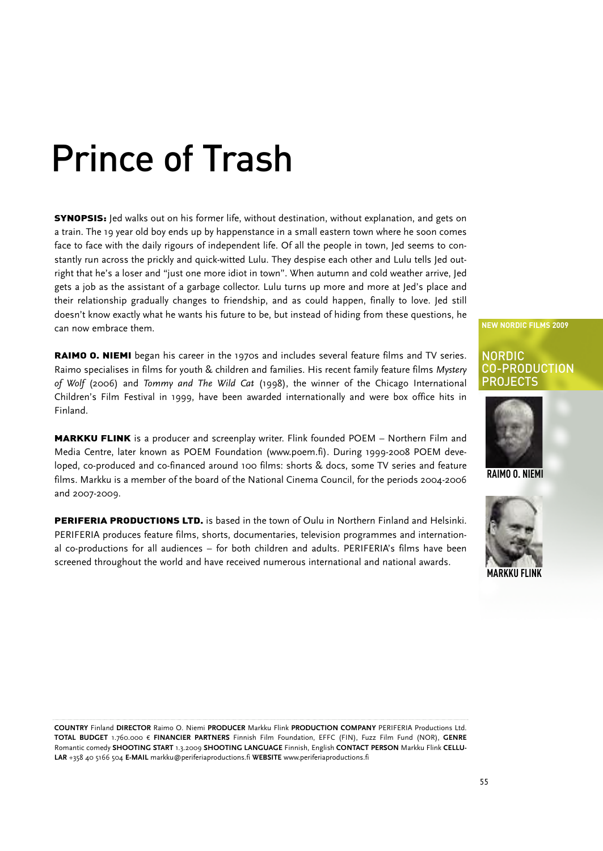# Prince of Trash

**SYNOPSIS:** Jed walks out on his former life, without destination, without explanation, and gets on a train. The 19 year old boy ends up by happenstance in a small eastern town where he soon comes face to face with the daily rigours of independent life. Of all the people in town, Jed seems to constantly run across the prickly and quick-witted Lulu. They despise each other and Lulu tells Jed outright that he's a loser and "just one more idiot in town". When autumn and cold weather arrive, Jed gets a job as the assistant of a garbage collector. Lulu turns up more and more at Jed's place and their relationship gradually changes to friendship, and as could happen, finally to love. Jed still doesn't know exactly what he wants his future to be, but instead of hiding from these questions, he can now embrace them.

RAIMO O. NIEMI began his career in the 1970s and includes several feature films and TV series. Raimo specialises in films for youth & children and families. His recent family feature films *Mystery of Wolf* (2006) and *Tommy and The Wild Cat* (1998), the winner of the Chicago International Children's Film Festival in 1999, have been awarded internationally and were box office hits in Finland.

MARKKU FLINK is a producer and screenplay writer. Flink founded POEM – Northern Film and Media Centre, later known as POEM Foundation (www.poem.fi). During 1999-2008 POEM developed, co-produced and co-financed around 100 films: shorts & docs, some TV series and feature films. Markku is a member of the board of the National Cinema Council, for the periods 2004-2006 and 2007-2009.

**PERIFERIA PRODUCTIONS LTD.** is based in the town of Oulu in Northern Finland and Helsinki. PERIFERIA produces feature films, shorts, documentaries, television programmes and international co-productions for all audiences – for both children and adults. PERIFERIA's films have been screened throughout the world and have received numerous international and national awards.

**NEW NORDIC FILMS 2009**

### NORDIC CO-PRODUCTION **PROJECTS**



**RAIMO O. NIEMI**



**COUNTRY** Finland **DIRECTOR** Raimo O. Niemi **PRODUCER** Markku Flink **PRODUCTION COMPANY** PERIFERIA Productions Ltd. **TOTAL BUDGET** 1.760.000 € **FINANCIER PARTNERS** Finnish Film Foundation, EFFC (FIN), Fuzz Film Fund (NOR), **GENRE** Romantic comedy **SHOOTING START** 1.3.2009 **SHOOTING LANGUAGE** Finnish, English **CONTACT PERSON** Markku Flink **CELLU-LAR** +358 40 5166 504 **E-MAIL** markku@periferiaproductions.fi **WEBSITE** www.periferiaproductions.fi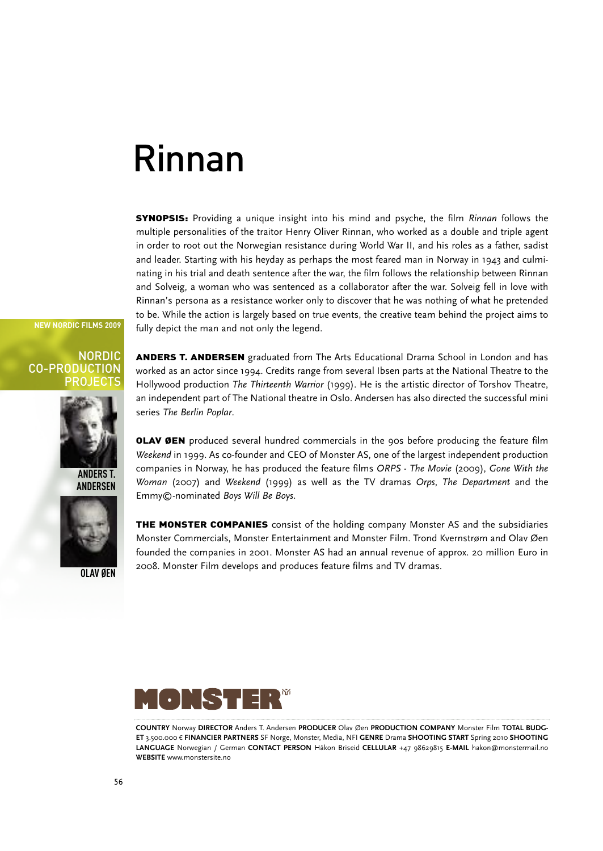### Rinnan

SYNOPSIS: Providing a unique insight into his mind and psyche, the film *Rinnan* follows the multiple personalities of the traitor Henry Oliver Rinnan, who worked as a double and triple agent in order to root out the Norwegian resistance during World War II, and his roles as a father, sadist and leader. Starting with his heyday as perhaps the most feared man in Norway in 1943 and culminating in his trial and death sentence after the war, the film follows the relationship between Rinnan and Solveig, a woman who was sentenced as a collaborator after the war. Solveig fell in love with Rinnan's persona as a resistance worker only to discover that he was nothing of what he pretended to be. While the action is largely based on true events, the creative team behind the project aims to fully depict the man and not only the legend.

#### **NEW NORDIC FILMS 2009**

#### NORDIC CO-PRODUCTION PROJ



**ANDERSEN**



**OLAV ØEN**

ANDERS T. ANDERSEN graduated from The Arts Educational Drama School in London and has worked as an actor since 1994. Credits range from several Ibsen parts at the National Theatre to the Hollywood production *The Thirteenth Warrior* (1999). He is the artistic director of Torshov Theatre, an independent part of The National theatre in Oslo. Andersen has also directed the successful mini series *The Berlin Poplar*.

**OLAV ØEN** produced several hundred commercials in the 90s before producing the feature film *Weekend* in 1999. As co-founder and CEO of Monster AS, one of the largest independent production companies in Norway, he has produced the feature films *ORPS - The Movie* (2009), *Gone With the Woman* (2007) and *Weekend* (1999) as well as the TV dramas *Orps*, *The Department* and the Emmy©-nominated *Boys Will Be Boys*.

**THE MONSTER COMPANIES** consist of the holding company Monster AS and the subsidiaries Monster Commercials, Monster Entertainment and Monster Film. Trond Kvernstrøm and Olav Øen founded the companies in 2001. Monster AS had an annual revenue of approx. 20 million Euro in 2008. Monster Film develops and produces feature films and TV dramas.



**COUNTRY** Norway **DIRECTOR** Anders T. Andersen **PRODUCER** Olav Øen **PRODUCTION COMPANY** Monster Film **TOTAL BUDG-ET** 3.500.000 € **FINANCIER PARTNERS** SF Norge, Monster, Media, NFI **GENRE** Drama **SHOOTING START** Spring 2010 **SHOOTING LANGUAGE** Norwegian / German **CONTACT PERSON** Håkon Briseid **CELLULAR** +47 98629815 **E-MAIL** hakon@monstermail.no **WEBSITE** www.monstersite.no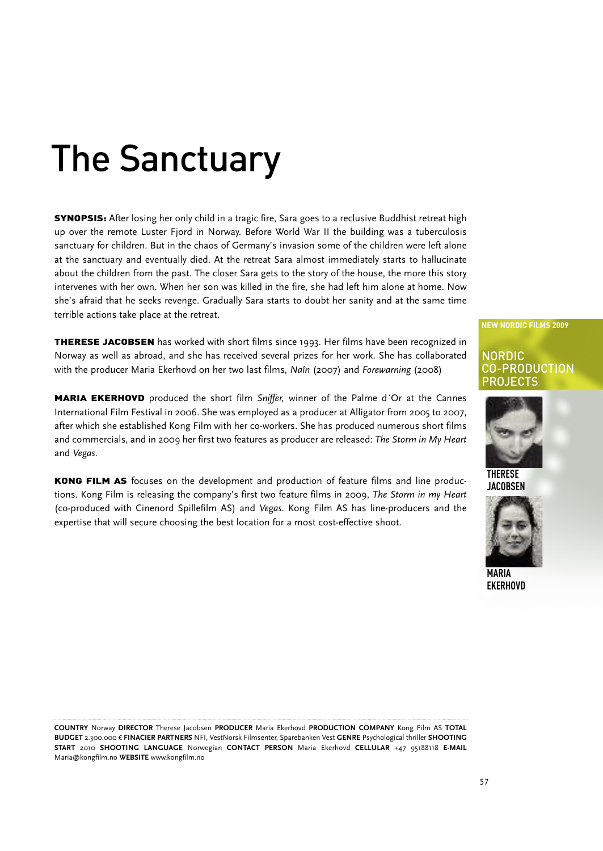# The Sanctuary

**SYNOPSIS:** After losing her only child in a tragic fire, Sara goes to a reclusive Buddhist retreat high up over the remote Luster Fjord in Norway. Before World War II the building was a tuberculosis sanctuary for children. But in the chaos of Germany's invasion some of the children were left alone at the sanctuary and eventually died. At the retreat Sara almost immediately starts to hallucinate about the children from the past. The closer Sara gets to the story of the house, the more this story intervenes with her own. When her son was killed in the fire, she had left him alone at home. Now she's afraid that he seeks revenge. Gradually Sara starts to doubt her sanity and at the same time terrible actions take place at the retreat.

**THERESE JACOBSEN** has worked with short films since 1993. Her films have been recognized in Norway as well as abroad, and she has received several prizes for her work. She has collaborated with the producer Maria Ekerhovd on her two last films, *Naîn* (2007) and *Forewarning* (2008)

MARIA EKERHOVD produced the short film *Sniffer,* winner of the Palme d´Or at the Cannes International Film Festival in 2006. She was employed as a producer at Alligator from 2005 to 2007, after which she established Kong Film with her co-workers. She has produced numerous short films and commercials, and in 2009 her first two features as producer are released: *The Storm in My Heart* and *Vegas*.

KONG FILM AS focuses on the development and production of feature films and line productions. Kong Film is releasing the company's first two feature films in 2009, *The Storm in my Heart* (co-produced with Cinenord Spillefilm AS) and *Vegas*. Kong Film AS has line-producers and the expertise that will secure choosing the best location for a most cost-effective shoot.

**NEW NORDIC FILMS 2009**

### NORDIC CO-PRODUCTION **PROJECTS**



**THERESE JACOBSEN**



**MARIA EKERHOVD**

**COUNTRY** Norway **DIRECTOR** Therese Jacobsen **PRODUCER** Maria Ekerhovd **PRODUCTION COMPANY** Kong Film AS **TOTAL BUDGET** 2.300.000 € **FINACIER PARTNERS** NFI, VestNorsk Filmsenter, Sparebanken Vest **GENRE** Psychological thriller **SHOOTING START** 2010 **SHOOTING LANGUAGE** Norwegian **CONTACT PERSON** Maria Ekerhovd **CELLULAR** +47 95188118 **E-MAIL** Maria@kongfilm.no **WEBSITE** www.kongfilm.no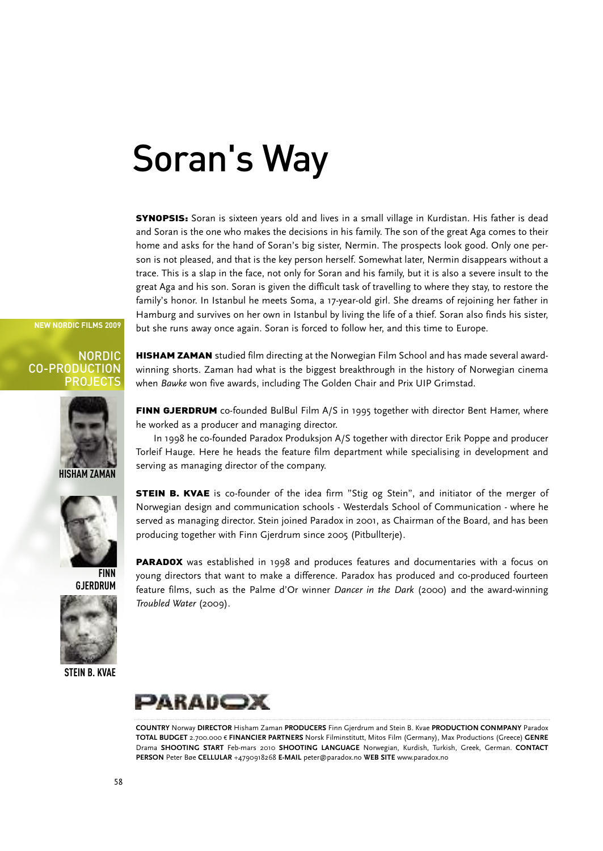### Soran 's Way

**SYNOPSIS:** Soran is sixteen years old and lives in a small village in Kurdistan. His father is dead and Soran is the one who makes the decisions in his family. The son of the great Aga comes to their home and asks for the hand of Soran's big sister, Nermin. The prospects look good. Only one person is not pleased, and that is the key person herself. Somewhat later, Nermin disappears without a trace. This is a slap in the face, not only for Soran and his family, but it is also a severe insult to the great Aga and his son. Soran is given the difficult task of travelling to where they stay, to restore the family's honor. In Istanbul he meets Soma, a 17-year-old girl. She dreams of rejoining her father in Hamburg and survives on her own in Istanbul by living the life of a thief. Soran also finds his sister, but she runs away once again. Soran is forced to follow her, and this time to Europe.

**NEW NORDIC FILMS 2009**

#### NORDIC CO-PRODUCTION PROJECT





**GJERDRUM**



**STEIN B. KVAE**

HISHAM ZAMAN studied film directing at the Norwegian Film School and has made several awardwinning shorts. Zaman had what is the biggest breakthrough in the history of Norwegian cinema when *Bawke* won five awards, including The Golden Chair and Prix UIP Grimstad.

FINN GJERDRUM co-founded BulBul Film A/S in 1995 together with director Bent Hamer, where he worked as a producer and managing director.

In 1998 he co-founded Paradox Produksjon A/S together with director Erik Poppe and producer Torleif Hauge. Here he heads the feature film department while specialising in development and serving as managing director of the company.

**STEIN B. KVAE** is co-founder of the idea firm "Stig og Stein", and initiator of the merger of Norwegian design and communication schools - Westerdals School of Communication - where he served as managing director. Stein joined Paradox in 2001, as Chairman of the Board, and has been producing together with Finn Gjerdrum since 2005 (Pitbullterje).

PARADOX was established in 1998 and produces features and documentaries with a focus on young directors that want to make a difference. Paradox has produced and co-produced fourteen feature films, such as the Palme d'Or winner *Dancer in the Dark* (2000) and the award-winning *Troubled Water* (2009).



**COUNTRY** Norway **DIRECTOR** Hisham Zaman **PRODUCERS** Finn Gjerdrum and Stein B. Kvae **PRODUCTION CONMPANY** Paradox **TOTAL BUDGET** 2.700.000 € **FINANCIER PARTNERS** Norsk Filminstitutt, Mitos Film (Germany), Max Productions (Greece) **GENRE** Drama **SHOOTING START** Feb-mars 2010 **SHOOTING LANGUAGE** Norwegian, Kurdish, Turkish, Greek, German. **CONTACT PERSON** Peter Bøe **CELLULAR** +4790918268 **E-MAIL** peter@paradox.no **WEB SITE** www.paradox.no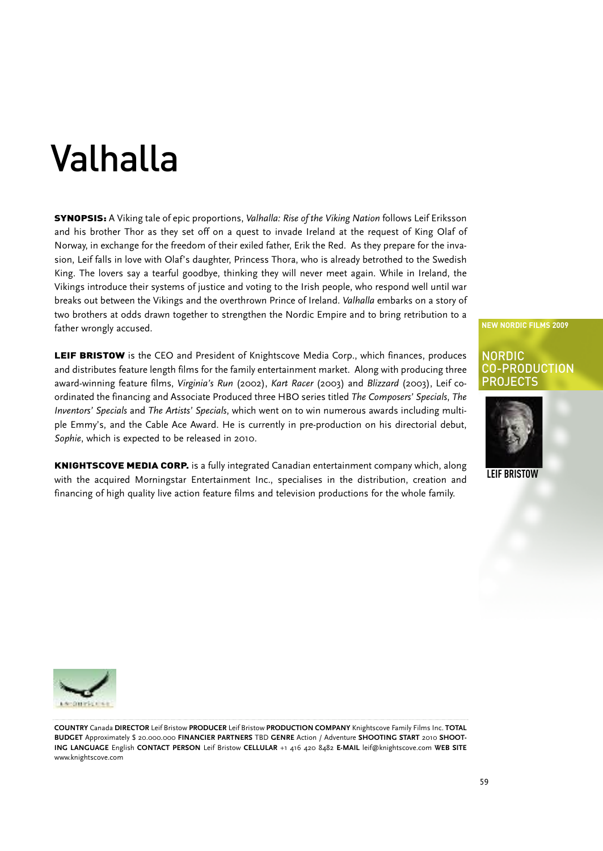## Valhalla

SYNOPSIS: A Viking tale of epic proportions, *Valhalla: Rise of the Viking Nation* follows Leif Eriksson and his brother Thor as they set off on a quest to invade Ireland at the request of King Olaf of Norway, in exchange for the freedom of their exiled father, Erik the Red. As they prepare for the invasion, Leif falls in love with Olaf's daughter, Princess Thora, who is already betrothed to the Swedish King. The lovers say a tearful goodbye, thinking they will never meet again. While in Ireland, the Vikings introduce their systems of justice and voting to the Irish people, who respond well until war breaks out between the Vikings and the overthrown Prince of Ireland. *Valhalla* embarks on a story of two brothers at odds drawn together to strengthen the Nordic Empire and to bring retribution to a father wrongly accused.

LEIF BRISTOW is the CEO and President of Knightscove Media Corp., which finances, produces and distributes feature length films for the family entertainment market. Along with producing three award-winning feature films, *Virginia's Run* (2002), *Kart Racer* (2003) and *Blizzard* (2003), Leif coordinated the financing and Associate Produced three HBO series titled *The Composers' Specials*, *The Inventors' Specials* and *The Artists' Specials*, which went on to win numerous awards including multiple Emmy's, and the Cable Ace Award. He is currently in pre-production on his directorial debut, *Sophie*, which is expected to be released in 2010.

KNIGHTSCOVE MEDIA CORP. is a fully integrated Canadian entertainment company which, along with the acquired Morningstar Entertainment Inc., specialises in the distribution, creation and financing of high quality live action feature films and television productions for the whole family.

#### **NEW NORDIC FILMS 2009**

#### NORDIC CO-PRODUCTION **PROJECTS**



**LEIF BRISTOW**



**COUNTRY** Canada **DIRECTOR** Leif Bristow **PRODUCER** Leif Bristow **PRODUCTION COMPANY** Knightscove Family Films Inc. **TOTAL BUDGET** Approximately \$ 20.000.000 **FINANCIER PARTNERS** TBD **GENRE** Action / Adventure **SHOOTING START** 2010 **SHOOT-ING LANGUAGE** English **CONTACT PERSON** Leif Bristow **CELLULAR** +1 416 420 8482 **E-MAIL** leif@knightscove.com **WEB SITE** www.knightscove.com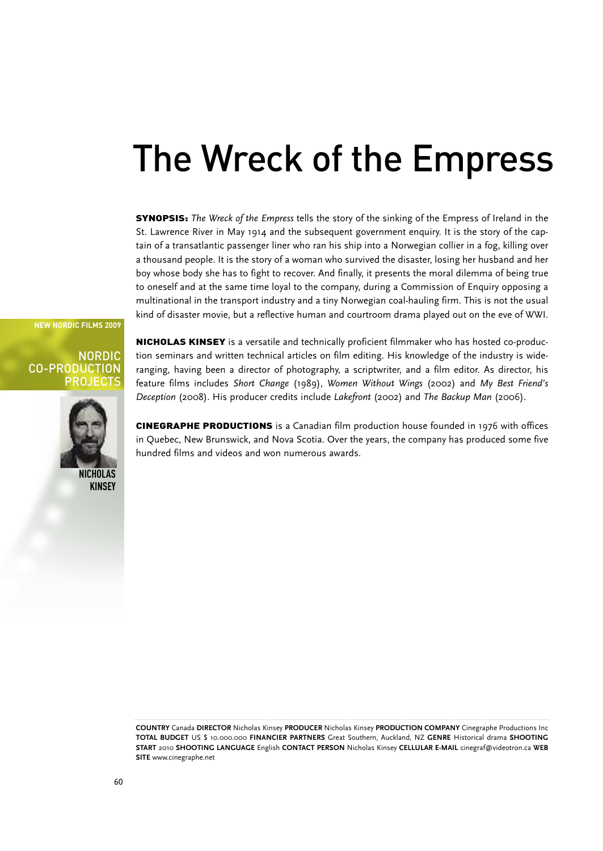### The Wreck of the Empress

SYNOPSIS: *The Wreck of the Empress* tells the story of the sinking of the Empress of Ireland in the St. Lawrence River in May 1914 and the subsequent government enquiry. It is the story of the captain of a transatlantic passenger liner who ran his ship into a Norwegian collier in a fog, killing over a thousand people. It is the story of a woman who survived the disaster, losing her husband and her boy whose body she has to fight to recover. And finally, it presents the moral dilemma of being true to oneself and at the same time loyal to the company, during a Commission of Enquiry opposing a multinational in the transport industry and a tiny Norwegian coal-hauling firm. This is not the usual kind of disaster movie, but a reflective human and courtroom drama played out on the eve of WWI.

**NEW NORDIC FILMS 2009**

#### NORDIC CO-PRODUCTION PROJECTS



NICHOLAS KINSEY is a versatile and technically proficient filmmaker who has hosted co-production seminars and written technical articles on film editing. His knowledge of the industry is wideranging, having been a director of photography, a scriptwriter, and a film editor. As director, his feature films includes *Short Change* (1989), *Women Without Wings* (2002) and *My Best Friend's Deception* (2008). His producer credits include *Lakefront* (2002) and *The Backup Man* (2006).

CINEGRAPHE PRODUCTIONS is a Canadian film production house founded in 1976 with offices in Quebec, New Brunswick, and Nova Scotia. Over the years, the company has produced some five hundred films and videos and won numerous awards.

**COUNTRY** Canada **DIRECTOR** Nicholas Kinsey **PRODUCER** Nicholas Kinsey **PRODUCTION COMPANY** Cinegraphe Productions Inc **TOTAL BUDGET** US \$ 10.000.000 **FINANCIER PARTNERS** Great Southern, Auckland, NZ **GENRE** Historical drama **SHOOTING START** 2010 **SHOOTING LANGUAGE** English **CONTACT PERSON** Nicholas Kinsey **CELLULAR E-MAIL** cinegraf@videotron.ca **WEB SITE** www.cinegraphe.net